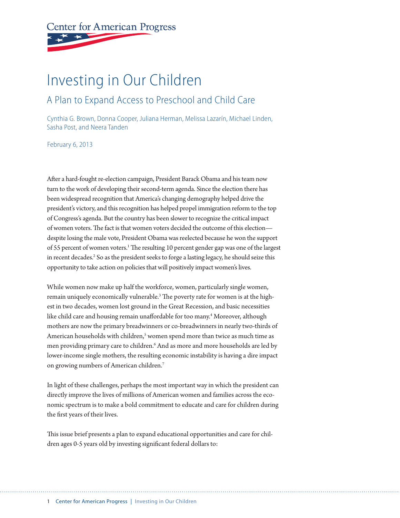# **Center for American Progress**

# Investing in Our Children

### A Plan to Expand Access to Preschool and Child Care

Cynthia G. Brown, Donna Cooper, Juliana Herman, Melissa Lazarín, Michael Linden, Sasha Post, and Neera Tanden

February 6, 2013

After a hard-fought re-election campaign, President Barack Obama and his team now turn to the work of developing their second-term agenda. Since the election there has been widespread recognition that America's changing demography helped drive the president's victory, and this recognition has helped propel immigration reform to the top of Congress's agenda. But the country has been slower to recognize the critical impact of women voters. The fact is that women voters decided the outcome of this election despite losing the male vote, President Obama was reelected because he won the support of 55 percent of women voters.<sup>1</sup> The resulting 10 percent gender gap was one of the largest in recent decades.<sup>2</sup> So as the president seeks to forge a lasting legacy, he should seize this opportunity to take action on policies that will positively impact women's lives.

While women now make up half the workforce, women, particularly single women, remain uniquely economically vulnerable.<sup>3</sup> The poverty rate for women is at the highest in two decades, women lost ground in the Great Recession, and basic necessities like child care and housing remain unaffordable for too many.4 Moreover, although mothers are now the primary breadwinners or co-breadwinners in nearly two-thirds of American households with children,<sup>5</sup> women spend more than twice as much time as men providing primary care to children.<sup>6</sup> And as more and more households are led by lower-income single mothers, the resulting economic instability is having a dire impact on growing numbers of American children.7

In light of these challenges, perhaps the most important way in which the president can directly improve the lives of millions of American women and families across the economic spectrum is to make a bold commitment to educate and care for children during the first years of their lives.

This issue brief presents a plan to expand educational opportunities and care for children ages 0-5 years old by investing significant federal dollars to: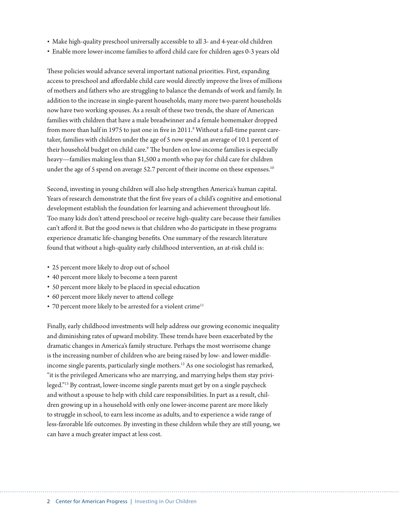- Make high-quality preschool universally accessible to all 3- and 4-year-old children
- Enable more lower-income families to afford child care for children ages 0-3 years old

These policies would advance several important national priorities. First, expanding access to preschool and affordable child care would directly improve the lives of millions of mothers and fathers who are struggling to balance the demands of work and family. In addition to the increase in single-parent households, many more two-parent households now have two working spouses. As a result of these two trends, the share of American families with children that have a male breadwinner and a female homemaker dropped from more than half in 1975 to just one in five in 2011. $^8$  Without a full-time parent caretaker, families with children under the age of 5 now spend an average of 10.1 percent of their household budget on child care.<sup>9</sup> The burden on low-income families is especially heavy—families making less than \$1,500 a month who pay for child care for children under the age of 5 spend on average 52.7 percent of their income on these expenses.<sup>10</sup>

Second, investing in young children will also help strengthen America's human capital. Years of research demonstrate that the first five years of a child's cognitive and emotional development establish the foundation for learning and achievement throughout life. Too many kids don't attend preschool or receive high-quality care because their families can't afford it. But the good news is that children who do participate in these programs experience dramatic life-changing benefits. One summary of the research literature found that without a high-quality early childhood intervention, an at-risk child is:

- 25 percent more likely to drop out of school
- 40 percent more likely to become a teen parent
- 50 percent more likely to be placed in special education
- 60 percent more likely never to attend college
- $\cdot$  70 percent more likely to be arrested for a violent crime<sup>11</sup>

Finally, early childhood investments will help address our growing economic inequality and diminishing rates of upward mobility. These trends have been exacerbated by the dramatic changes in America's family structure. Perhaps the most worrisome change is the increasing number of children who are being raised by low- and lower-middleincome single parents, particularly single mothers.12 As one sociologist has remarked, "it is the privileged Americans who are marrying, and marrying helps them stay privileged."13 By contrast, lower-income single parents must get by on a single paycheck and without a spouse to help with child care responsibilities. In part as a result, children growing up in a household with only one lower-income parent are more likely to struggle in school, to earn less income as adults, and to experience a wide range of less-favorable life outcomes. By investing in these children while they are still young, we can have a much greater impact at less cost.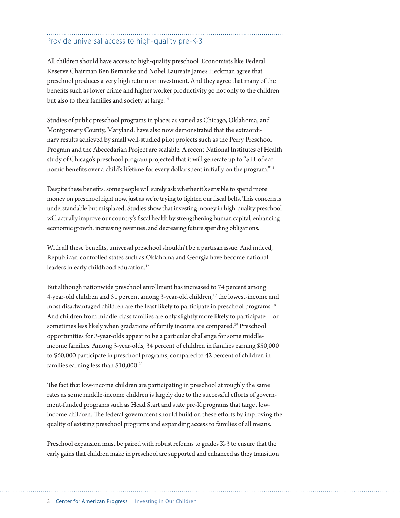## Provide universal access to high-quality pre-K-3

All children should have access to high-quality preschool. Economists like Federal Reserve Chairman Ben Bernanke and Nobel Laureate James Heckman agree that preschool produces a very high return on investment. And they agree that many of the benefits such as lower crime and higher worker productivity go not only to the children but also to their families and society at large.<sup>14</sup>

Studies of public preschool programs in places as varied as Chicago, Oklahoma, and Montgomery County, Maryland, have also now demonstrated that the extraordinary results achieved by small well-studied pilot projects such as the Perry Preschool Program and the Abecedarian Project are scalable. A recent National Institutes of Health study of Chicago's preschool program projected that it will generate up to "\$11 of economic benefits over a child's lifetime for every dollar spent initially on the program."15

Despite these benefits, some people will surely ask whether it's sensible to spend more money on preschool right now, just as we're trying to tighten our fiscal belts. This concern is understandable but misplaced. Studies show that investing money in high-quality preschool will actually improve our country's fiscal health by strengthening human capital, enhancing economic growth, increasing revenues, and decreasing future spending obligations.

With all these benefits, universal preschool shouldn't be a partisan issue. And indeed, Republican-controlled states such as Oklahoma and Georgia have become national leaders in early childhood education.<sup>16</sup>

But although nationwide preschool enrollment has increased to 74 percent among 4-year-old children and 51 percent among 3-year-old children,<sup>17</sup> the lowest-income and most disadvantaged children are the least likely to participate in preschool programs.18 And children from middle-class families are only slightly more likely to participate—or sometimes less likely when gradations of family income are compared.19 Preschool opportunities for 3-year-olds appear to be a particular challenge for some middleincome families. Among 3-year-olds, 34 percent of children in families earning \$50,000 to \$60,000 participate in preschool programs, compared to 42 percent of children in families earning less than \$10,000.<sup>20</sup>

The fact that low-income children are participating in preschool at roughly the same rates as some middle-income children is largely due to the successful efforts of government-funded programs such as Head Start and state pre-K programs that target lowincome children. The federal government should build on these efforts by improving the quality of existing preschool programs and expanding access to families of all means.

Preschool expansion must be paired with robust reforms to grades K-3 to ensure that the early gains that children make in preschool are supported and enhanced as they transition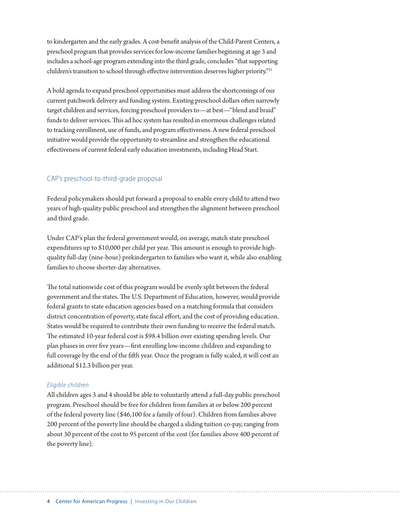to kindergarten and the early grades. A cost-benefit analysis of the Child-Parent Centers, a preschool program that provides services for low-income families beginning at age 3 and includes a school-age program extending into the third grade, concludes "that supporting children's transition to school through effective intervention deserves higher priority."21

A bold agenda to expand preschool opportunities must address the shortcomings of our current patchwork delivery and funding system. Existing preschool dollars often narrowly target children and services, forcing preschool providers to—at best—"blend and braid" funds to deliver services. This ad hoc system has resulted in enormous challenges related to tracking enrollment, use of funds, and program effectiveness. A new federal preschool initiative would provide the opportunity to streamline and strengthen the educational effectiveness of current federal early education investments, including Head Start.

#### CAP's preschool-to-third-grade proposal

Federal policymakers should put forward a proposal to enable every child to attend two years of high-quality public preschool and strengthen the alignment between preschool and third grade.

Under CAP's plan the federal government would, on average, match state preschool expenditures up to \$10,000 per child per year. This amount is enough to provide highquality full-day (nine-hour) prekindergarten to families who want it, while also enabling families to choose shorter-day alternatives.

The total nationwide cost of this program would be evenly split between the federal government and the states. The U.S. Department of Education, however, would provide federal grants to state education agencies based on a matching formula that considers district concentration of poverty, state fiscal effort, and the cost of providing education. States would be required to contribute their own funding to receive the federal match. The estimated 10-year federal cost is \$98.4 billion over existing spending levels. Our plan phases in over five years—first enrolling low-income children and expanding to full coverage by the end of the fifth year. Once the program is fully scaled, it will cost an additional \$12.3 billion per year.

#### *Eligible children*

All children ages 3 and 4 should be able to voluntarily attend a full-day public preschool program. Preschool should be free for children from families at or below 200 percent of the federal poverty line (\$46,100 for a family of four). Children from families above 200 percent of the poverty line should be charged a sliding tuition co-pay, ranging from about 30 percent of the cost to 95 percent of the cost (for families above 400 percent of the poverty line).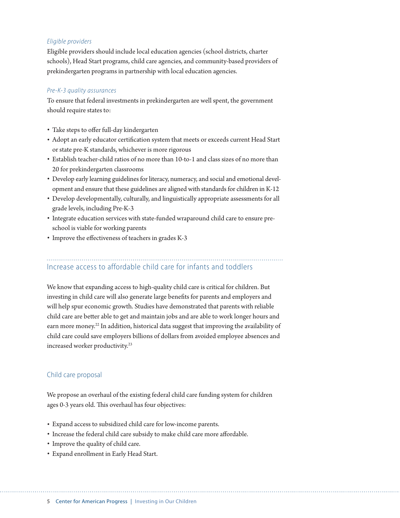#### *Eligible providers*

Eligible providers should include local education agencies (school districts, charter schools), Head Start programs, child care agencies, and community-based providers of prekindergarten programs in partnership with local education agencies.

#### *Pre-K-3 quality assurances*

To ensure that federal investments in prekindergarten are well spent, the government should require states to:

- Take steps to offer full-day kindergarten
- Adopt an early educator certification system that meets or exceeds current Head Start or state pre-K standards, whichever is more rigorous
- Establish teacher-child ratios of no more than 10-to-1 and class sizes of no more than 20 for prekindergarten classrooms
- Develop early learning guidelines for literacy, numeracy, and social and emotional development and ensure that these guidelines are aligned with standards for children in K-12
- Develop developmentally, culturally, and linguistically appropriate assessments for all grade levels, including Pre-K-3
- Integrate education services with state-funded wraparound child care to ensure preschool is viable for working parents
- Improve the effectiveness of teachers in grades K-3

# Increase access to affordable child care for infants and toddlers

We know that expanding access to high-quality child care is critical for children. But investing in child care will also generate large benefits for parents and employers and will help spur economic growth. Studies have demonstrated that parents with reliable child care are better able to get and maintain jobs and are able to work longer hours and earn more money.<sup>22</sup> In addition, historical data suggest that improving the availability of child care could save employers billions of dollars from avoided employee absences and increased worker productivity.23

#### Child care proposal

We propose an overhaul of the existing federal child care funding system for children ages 0-3 years old. This overhaul has four objectives:

- Expand access to subsidized child care for low-income parents.
- Increase the federal child care subsidy to make child care more affordable.
- Improve the quality of child care.
- Expand enrollment in Early Head Start.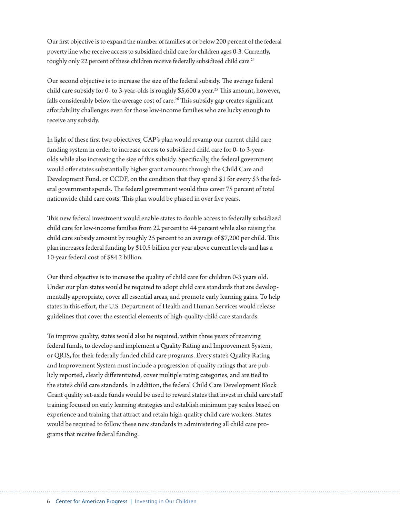Our first objective is to expand the number of families at or below 200 percent of the federal poverty line who receive access to subsidized child care for children ages 0-3. Currently, roughly only 22 percent of these children receive federally subsidized child care.<sup>24</sup>

Our second objective is to increase the size of the federal subsidy. The average federal child care subsidy for 0- to 3-year-olds is roughly \$5,600 a year.<sup>25</sup> This amount, however, falls considerably below the average cost of care.<sup>26</sup> This subsidy gap creates significant affordability challenges even for those low-income families who are lucky enough to receive any subsidy.

In light of these first two objectives, CAP's plan would revamp our current child care funding system in order to increase access to subsidized child care for 0- to 3-yearolds while also increasing the size of this subsidy. Specifically, the federal government would offer states substantially higher grant amounts through the Child Care and Development Fund, or CCDF, on the condition that they spend \$1 for every \$3 the federal government spends. The federal government would thus cover 75 percent of total nationwide child care costs. This plan would be phased in over five years.

This new federal investment would enable states to double access to federally subsidized child care for low-income families from 22 percent to 44 percent while also raising the child care subsidy amount by roughly 25 percent to an average of \$7,200 per child. This plan increases federal funding by \$10.5 billion per year above current levels and has a 10-year federal cost of \$84.2 billion.

Our third objective is to increase the quality of child care for children 0-3 years old. Under our plan states would be required to adopt child care standards that are developmentally appropriate, cover all essential areas, and promote early learning gains. To help states in this effort, the U.S. Department of Health and Human Services would release guidelines that cover the essential elements of high-quality child care standards.

To improve quality, states would also be required, within three years of receiving federal funds, to develop and implement a Quality Rating and Improvement System, or QRIS, for their federally funded child care programs. Every state's Quality Rating and Improvement System must include a progression of quality ratings that are publicly reported, clearly differentiated, cover multiple rating categories, and are tied to the state's child care standards. In addition, the federal Child Care Development Block Grant quality set-aside funds would be used to reward states that invest in child care staff training focused on early learning strategies and establish minimum pay scales based on experience and training that attract and retain high-quality child care workers. States would be required to follow these new standards in administering all child care programs that receive federal funding.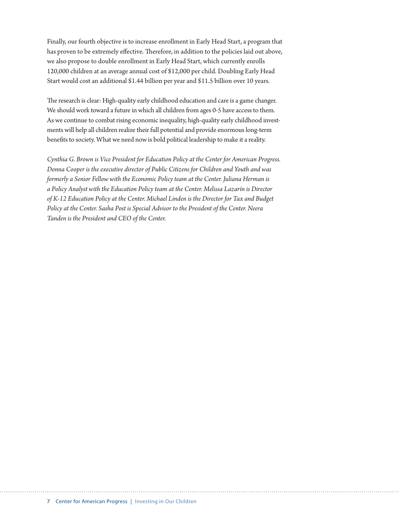Finally, our fourth objective is to increase enrollment in Early Head Start, a program that has proven to be extremely effective. Therefore, in addition to the policies laid out above, we also propose to double enrollment in Early Head Start, which currently enrolls 120,000 children at an average annual cost of \$12,000 per child. Doubling Early Head Start would cost an additional \$1.44 billion per year and \$11.5 billion over 10 years.

The research is clear: High-quality early childhood education and care is a game changer. We should work toward a future in which all children from ages 0-5 have access to them. As we continue to combat rising economic inequality, high-quality early childhood investments will help all children realize their full potential and provide enormous long-term benefits to society. What we need now is bold political leadership to make it a reality.

*Cynthia G. Brown is Vice President for Education Policy at the Center for American Progress. Donna Cooper is the executive director of Public Citizens for Children and Youth and was formerly a Senior Fellow with the Economic Policy team at the Center. Juliana Herman is a Policy Analyst with the Education Policy team at the Center. Melissa Lazarín is Director of K-12 Education Policy at the Center. Michael Linden is the Director for Tax and Budget Policy at the Center. Sasha Post is Special Advisor to the President of the Center. Neera Tanden is the President and CEO of the Center.*